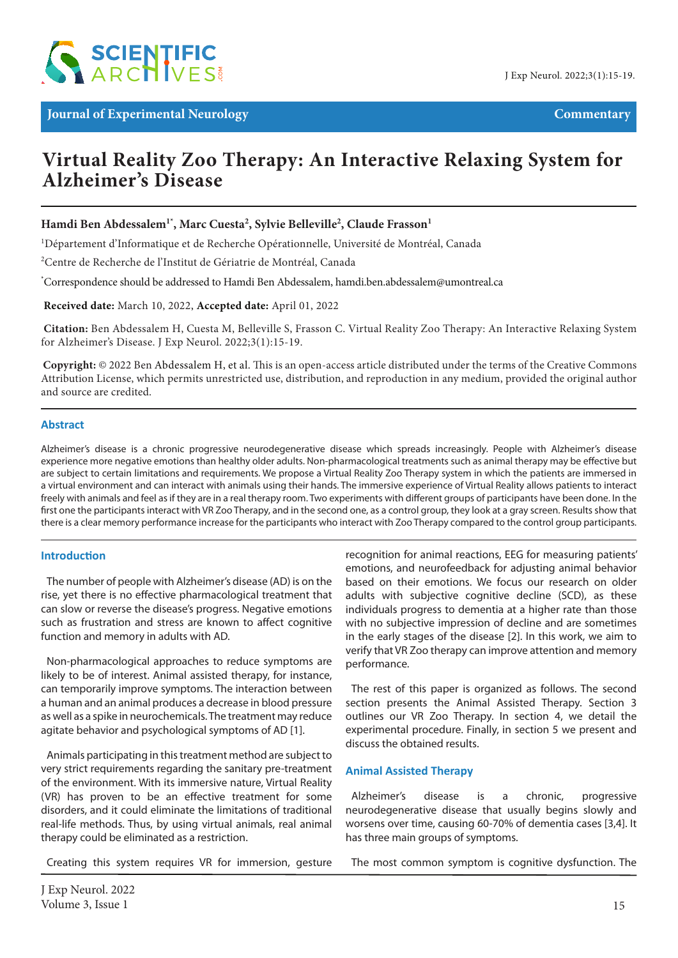

# *Journal of Experimental Neurology* **Commentary**

# **Virtual Reality Zoo Therapy: An Interactive Relaxing System for Alzheimer's Disease**

**Hamdi Ben Abdessalem1\*, Marc Cuesta2 , Sylvie Belleville2 , Claude Frasson1**

<sup>1</sup>Département d'Informatique et de Recherche Opérationnelle, Université de Montréal, Canada

2 Centre de Recherche de l'Institut de Gériatrie de Montréal, Canada

\* Correspondence should be addressed to Hamdi Ben Abdessalem, hamdi.ben.abdessalem@umontreal.ca

 **Received date:** March 10, 2022, **Accepted date:** April 01, 2022

**Citation:** Ben Abdessalem H, Cuesta M, Belleville S, Frasson C. Virtual Reality Zoo Therapy: An Interactive Relaxing System for Alzheimer's Disease. J Exp Neurol. 2022;3(1):15-19.

**Copyright:** © 2022 Ben Abdessalem H, et al. This is an open-access article distributed under the terms of the Creative Commons Attribution License, which permits unrestricted use, distribution, and reproduction in any medium, provided the original author and source are credited.

#### **Abstract**

Alzheimer's disease is a chronic progressive neurodegenerative disease which spreads increasingly. People with Alzheimer's disease experience more negative emotions than healthy older adults. Non-pharmacological treatments such as animal therapy may be effective but are subject to certain limitations and requirements. We propose a Virtual Reality Zoo Therapy system in which the patients are immersed in a virtual environment and can interact with animals using their hands. The immersive experience of Virtual Reality allows patients to interact freely with animals and feel as if they are in a real therapy room. Two experiments with different groups of participants have been done. In the first one the participants interact with VR Zoo Therapy, and in the second one, as a control group, they look at a gray screen. Results show that there is a clear memory performance increase for the participants who interact with Zoo Therapy compared to the control group participants.

#### **Introduction**

The number of people with Alzheimer's disease (AD) is on the rise, yet there is no effective pharmacological treatment that can slow or reverse the disease's progress. Negative emotions such as frustration and stress are known to affect cognitive function and memory in adults with AD.

Non-pharmacological approaches to reduce symptoms are likely to be of interest. Animal assisted therapy, for instance, can temporarily improve symptoms. The interaction between a human and an animal produces a decrease in blood pressure as well as a spike in neurochemicals. The treatment may reduce agitate behavior and psychological symptoms of AD [1].

Animals participating in this treatment method are subject to very strict requirements regarding the sanitary pre-treatment of the environment. With its immersive nature, Virtual Reality (VR) has proven to be an effective treatment for some disorders, and it could eliminate the limitations of traditional real-life methods. Thus, by using virtual animals, real animal therapy could be eliminated as a restriction.

Creating this system requires VR for immersion, gesture

recognition for animal reactions, EEG for measuring patients' emotions, and neurofeedback for adjusting animal behavior based on their emotions. We focus our research on older adults with subjective cognitive decline (SCD), as these individuals progress to dementia at a higher rate than those with no subjective impression of decline and are sometimes in the early stages of the disease [2]. In this work, we aim to verify that VR Zoo therapy can improve attention and memory performance.

The rest of this paper is organized as follows. The second section presents the Animal Assisted Therapy. Section 3 outlines our VR Zoo Therapy. In section 4, we detail the experimental procedure. Finally, in section 5 we present and discuss the obtained results.

#### **Animal Assisted Therapy**

Alzheimer's disease is a chronic, progressive neurodegenerative disease that usually begins slowly and worsens over time, causing 60-70% of dementia cases [3,4]. It has three main groups of symptoms.

The most common symptom is cognitive dysfunction. The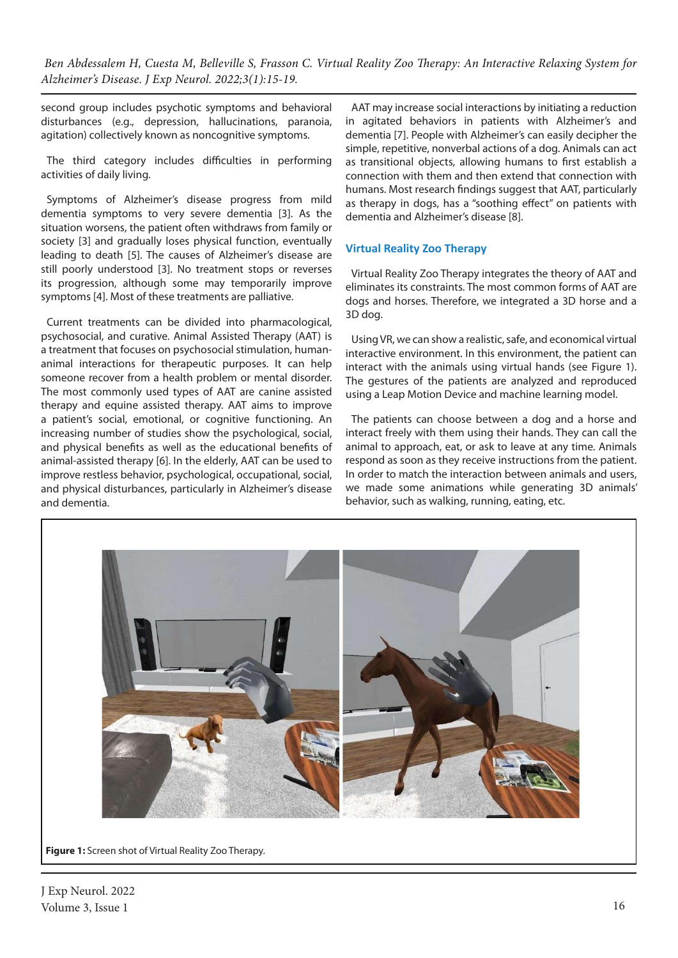second group includes psychotic symptoms and behavioral disturbances (e.g., depression, hallucinations, paranoia, agitation) collectively known as noncognitive symptoms.

The third category includes difficulties in performing activities of daily living.

Symptoms of Alzheimer's disease progress from mild dementia symptoms to very severe dementia [3]. As the situation worsens, the patient often withdraws from family or society [3] and gradually loses physical function, eventually leading to death [5]. The causes of Alzheimer's disease are still poorly understood [3]. No treatment stops or reverses its progression, although some may temporarily improve symptoms [4]. Most of these treatments are palliative.

Current treatments can be divided into pharmacological, psychosocial, and curative. Animal Assisted Therapy (AAT) is a treatment that focuses on psychosocial stimulation, humananimal interactions for therapeutic purposes. It can help someone recover from a health problem or mental disorder. The most commonly used types of AAT are canine assisted therapy and equine assisted therapy. AAT aims to improve a patient's social, emotional, or cognitive functioning. An increasing number of studies show the psychological, social, and physical benefits as well as the educational benefits of animal-assisted therapy [6]. In the elderly, AAT can be used to improve restless behavior, psychological, occupational, social, and physical disturbances, particularly in Alzheimer's disease and dementia.

AAT may increase social interactions by initiating a reduction in agitated behaviors in patients with Alzheimer's and dementia [7]. People with Alzheimer's can easily decipher the simple, repetitive, nonverbal actions of a dog. Animals can act as transitional objects, allowing humans to first establish a connection with them and then extend that connection with humans. Most research findings suggest that AAT, particularly as therapy in dogs, has a "soothing effect" on patients with dementia and Alzheimer's disease [8].

## **Virtual Reality Zoo Therapy**

Virtual Reality Zoo Therapy integrates the theory of AAT and eliminates its constraints. The most common forms of AAT are dogs and horses. Therefore, we integrated a 3D horse and a 3D dog.

Using VR, we can show a realistic, safe, and economical virtual interactive environment. In this environment, the patient can interact with the animals using virtual hands (see Figure 1). The gestures of the patients are analyzed and reproduced using a Leap Motion Device and machine learning model.

The patients can choose between a dog and a horse and interact freely with them using their hands. They can call the animal to approach, eat, or ask to leave at any time. Animals respond as soon as they receive instructions from the patient. In order to match the interaction between animals and users, we made some animations while generating 3D animals' behavior, such as walking, running, eating, etc.



**Figure 1:** Screen shot of Virtual Reality Zoo Therapy.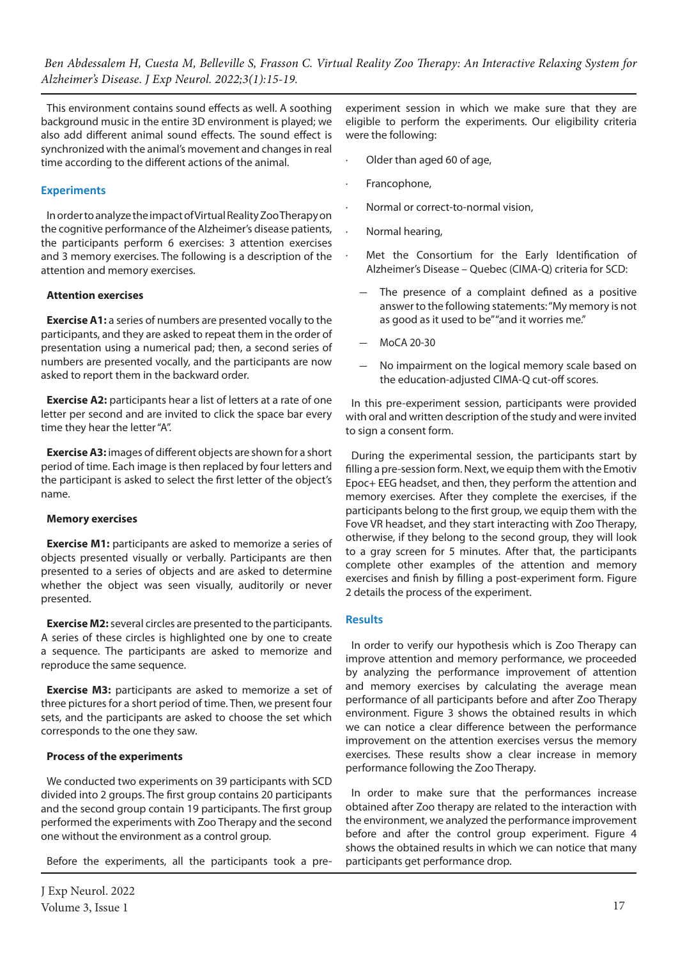This environment contains sound effects as well. A soothing background music in the entire 3D environment is played; we also add different animal sound effects. The sound effect is synchronized with the animal's movement and changes in real time according to the different actions of the animal.

## **Experiments**

In order to analyze the impact of Virtual Reality Zoo Therapy on the cognitive performance of the Alzheimer's disease patients, the participants perform 6 exercises: 3 attention exercises and 3 memory exercises. The following is a description of the attention and memory exercises.

#### **Attention exercises**

**Exercise A1:** a series of numbers are presented vocally to the participants, and they are asked to repeat them in the order of presentation using a numerical pad; then, a second series of numbers are presented vocally, and the participants are now asked to report them in the backward order.

**Exercise A2:** participants hear a list of letters at a rate of one letter per second and are invited to click the space bar every time they hear the letter "A".

**Exercise A3:** images of different objects are shown for a short period of time. Each image is then replaced by four letters and the participant is asked to select the first letter of the object's name.

#### **Memory exercises**

**Exercise M1:** participants are asked to memorize a series of objects presented visually or verbally. Participants are then presented to a series of objects and are asked to determine whether the object was seen visually, auditorily or never presented.

**Exercise M2:** several circles are presented to the participants. A series of these circles is highlighted one by one to create a sequence. The participants are asked to memorize and reproduce the same sequence.

**Exercise M3:** participants are asked to memorize a set of three pictures for a short period of time. Then, we present four sets, and the participants are asked to choose the set which corresponds to the one they saw.

## **Process of the experiments**

We conducted two experiments on 39 participants with SCD divided into 2 groups. The first group contains 20 participants and the second group contain 19 participants. The first group performed the experiments with Zoo Therapy and the second one without the environment as a control group.

Before the experiments, all the participants took a pre-

experiment session in which we make sure that they are eligible to perform the experiments. Our eligibility criteria were the following:

- Older than aged 60 of age,
- · Francophone,
- Normal or correct-to-normal vision,
- · Normal hearing,
	- Met the Consortium for the Early Identification of Alzheimer's Disease – Quebec (CIMA-Q) criteria for SCD:
		- The presence of a complaint defined as a positive answer to the following statements: "My memory is not as good as it used to be" "and it worries me."
	- MoCA 20-30
	- No impairment on the logical memory scale based on the education-adjusted CIMA-Q cut-off scores.

In this pre-experiment session, participants were provided with oral and written description of the study and were invited to sign a consent form.

During the experimental session, the participants start by filling a pre-session form. Next, we equip them with the Emotiv Epoc+ EEG headset, and then, they perform the attention and memory exercises. After they complete the exercises, if the participants belong to the first group, we equip them with the Fove VR headset, and they start interacting with Zoo Therapy, otherwise, if they belong to the second group, they will look to a gray screen for 5 minutes. After that, the participants complete other examples of the attention and memory exercises and finish by filling a post-experiment form. Figure 2 details the process of the experiment.

## **Results**

In order to verify our hypothesis which is Zoo Therapy can improve attention and memory performance, we proceeded by analyzing the performance improvement of attention and memory exercises by calculating the average mean performance of all participants before and after Zoo Therapy environment. Figure 3 shows the obtained results in which we can notice a clear difference between the performance improvement on the attention exercises versus the memory exercises. These results show a clear increase in memory performance following the Zoo Therapy.

In order to make sure that the performances increase obtained after Zoo therapy are related to the interaction with the environment, we analyzed the performance improvement before and after the control group experiment. Figure 4 shows the obtained results in which we can notice that many participants get performance drop.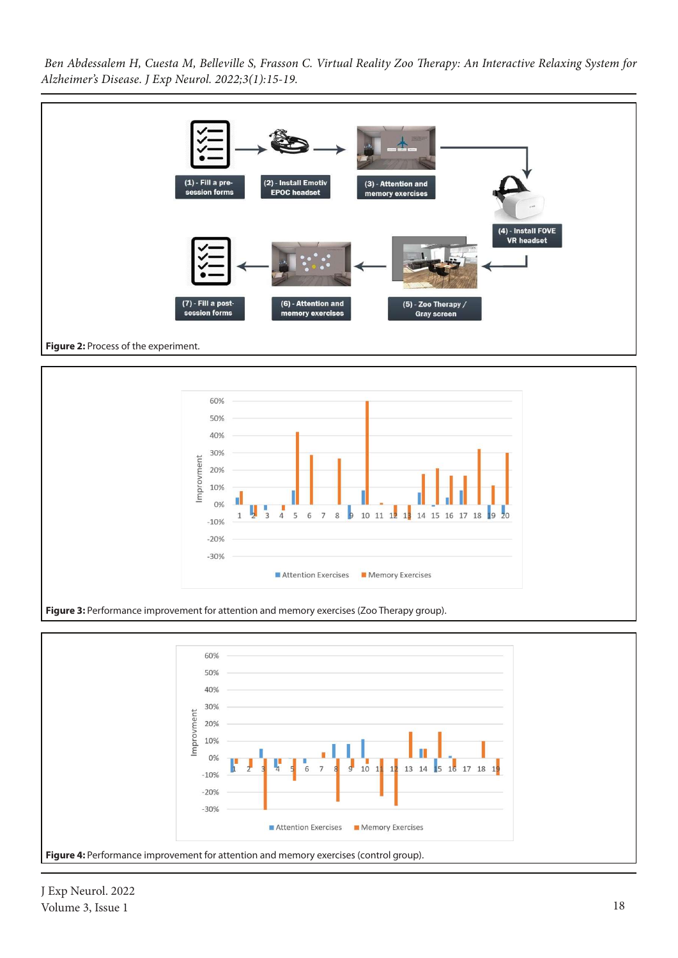







J Exp Neurol. 2022 Volume 3, Issue 1 18